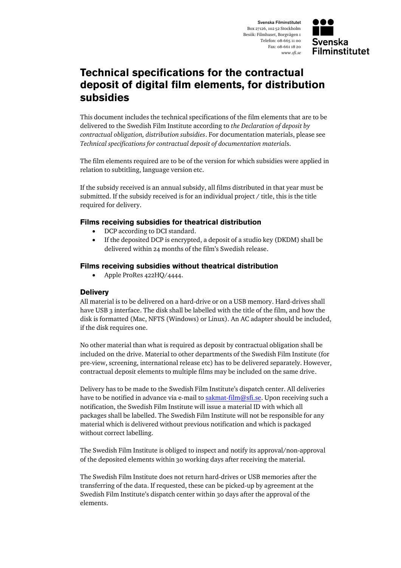Svenska Filminstitutet Box 27126, 102 52 Stockholm Besök: Filmhuset, Borgvägen 1 Telefon: 08-665 11 00 Fax: 08-661 18 20 *www.sfi.se*



## **Technical specifications for the contractual deposit of digital film elements, for distribution subsidies**

This document includes the technical specifications of the film elements that are to be delivered to the Swedish Film Institute according to *the Declaration of deposit by contractual obligation, distribution subsidies*. For documentation materials, please see *Technical specifications for contractual deposit of documentation material*s.

The film elements required are to be of the version for which subsidies were applied in relation to subtitling, language version etc.

If the subsidy received is an annual subsidy, all films distributed in that year must be submitted. If the subsidy received is for an individual project  $/$  title, this is the title required for delivery.

## **Films receiving subsidies for theatrical distribution**

- DCP according to DCI standard.
- If the deposited DCP is encrypted, a deposit of a studio key (DKDM) shall be delivered within 24 months of the film's Swedish release.

## **Films receiving subsidies without theatrical distribution**

Apple ProRes 422HQ/4444.

## **Delivery**

All material is to be delivered on a hard-drive or on a USB memory. Hard-drives shall have USB 3 interface. The disk shall be labelled with the title of the film, and how the disk is formatted (Mac, NFTS (Windows) or Linux). An AC adapter should be included, if the disk requires one.

No other material than what is required as deposit by contractual obligation shall be included on the drive. Material to other departments of the Swedish Film Institute (for pre-view, screening, international release etc) has to be delivered separately. However, contractual deposit elements to multiple films may be included on the same drive.

Delivery has to be made to the Swedish Film Institute's dispatch center. All deliveries have to be notified in advance via e-mail to [sakmat-film@sfi.se.](mailto:sakmat-film@sfi.se) Upon receiving such a notification, the Swedish Film Institute will issue a material ID with which all packages shall be labelled. The Swedish Film Institute will not be responsible for any material which is delivered without previous notification and which is packaged without correct labelling.

The Swedish Film Institute is obliged to inspect and notify its approval/non-approval of the deposited elements within 30 working days after receiving the material.

The Swedish Film Institute does not return hard-drives or USB memories after the transferring of the data. If requested, these can be picked-up by agreement at the Swedish Film Institute's dispatch center within 30 days after the approval of the elements.